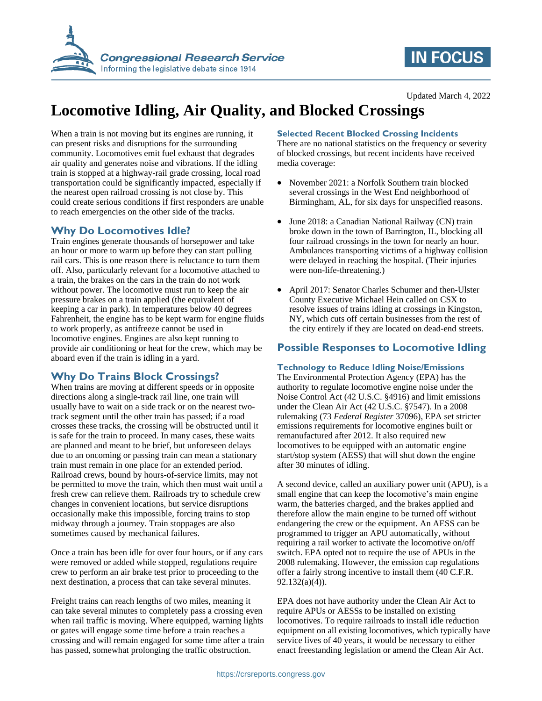

# **IN FOCUS**

#### Updated March 4, 2022

# **Locomotive Idling, Air Quality, and Blocked Crossings**

When a train is not moving but its engines are running, it can present risks and disruptions for the surrounding community. Locomotives emit fuel exhaust that degrades air quality and generates noise and vibrations. If the idling train is stopped at a highway-rail grade crossing, local road transportation could be significantly impacted, especially if the nearest open railroad crossing is not close by. This could create serious conditions if first responders are unable to reach emergencies on the other side of the tracks.

## **Why Do Locomotives Idle?**

Train engines generate thousands of horsepower and take an hour or more to warm up before they can start pulling rail cars. This is one reason there is reluctance to turn them off. Also, particularly relevant for a locomotive attached to a train, the brakes on the cars in the train do not work without power. The locomotive must run to keep the air pressure brakes on a train applied (the equivalent of keeping a car in park). In temperatures below 40 degrees Fahrenheit, the engine has to be kept warm for engine fluids to work properly, as antifreeze cannot be used in locomotive engines. Engines are also kept running to provide air conditioning or heat for the crew, which may be aboard even if the train is idling in a yard.

# **Why Do Trains Block Crossings?**

When trains are moving at different speeds or in opposite directions along a single-track rail line, one train will usually have to wait on a side track or on the nearest twotrack segment until the other train has passed; if a road crosses these tracks, the crossing will be obstructed until it is safe for the train to proceed. In many cases, these waits are planned and meant to be brief, but unforeseen delays due to an oncoming or passing train can mean a stationary train must remain in one place for an extended period. Railroad crews, bound by hours-of-service limits, may not be permitted to move the train, which then must wait until a fresh crew can relieve them. Railroads try to schedule crew changes in convenient locations, but service disruptions occasionally make this impossible, forcing trains to stop midway through a journey. Train stoppages are also sometimes caused by mechanical failures.

Once a train has been idle for over four hours, or if any cars were removed or added while stopped, regulations require crew to perform an air brake test prior to proceeding to the next destination, a process that can take several minutes.

Freight trains can reach lengths of two miles, meaning it can take several minutes to completely pass a crossing even when rail traffic is moving. Where equipped, warning lights or gates will engage some time before a train reaches a crossing and will remain engaged for some time after a train has passed, somewhat prolonging the traffic obstruction.

### **Selected Recent Blocked Crossing Incidents**

There are no national statistics on the frequency or severity of blocked crossings, but recent incidents have received media coverage:

- November 2021: a Norfolk Southern train blocked several crossings in the West End neighborhood of Birmingham, AL, for six days for unspecified reasons.
- June 2018: a Canadian National Railway (CN) train broke down in the town of Barrington, IL, blocking all four railroad crossings in the town for nearly an hour. Ambulances transporting victims of a highway collision were delayed in reaching the hospital. (Their injuries were non-life-threatening.)
- April 2017: Senator Charles Schumer and then-Ulster County Executive Michael Hein called on CSX to resolve issues of trains idling at crossings in Kingston, NY, which cuts off certain businesses from the rest of the city entirely if they are located on dead-end streets.

# **Possible Responses to Locomotive Idling**

### **Technology to Reduce Idling Noise/Emissions**

The Environmental Protection Agency (EPA) has the authority to regulate locomotive engine noise under the Noise Control Act (42 U.S.C. §4916) and limit emissions under the Clean Air Act (42 U.S.C. §7547). In a 2008 rulemaking (73 *Federal Register* 37096), EPA set stricter emissions requirements for locomotive engines built or remanufactured after 2012. It also required new locomotives to be equipped with an automatic engine start/stop system (AESS) that will shut down the engine after 30 minutes of idling.

A second device, called an auxiliary power unit (APU), is a small engine that can keep the locomotive's main engine warm, the batteries charged, and the brakes applied and therefore allow the main engine to be turned off without endangering the crew or the equipment. An AESS can be programmed to trigger an APU automatically, without requiring a rail worker to activate the locomotive on/off switch. EPA opted not to require the use of APUs in the 2008 rulemaking. However, the emission cap regulations offer a fairly strong incentive to install them (40 C.F.R. 92.132(a)(4)).

EPA does not have authority under the Clean Air Act to require APUs or AESSs to be installed on existing locomotives. To require railroads to install idle reduction equipment on all existing locomotives, which typically have service lives of 40 years, it would be necessary to either enact freestanding legislation or amend the Clean Air Act.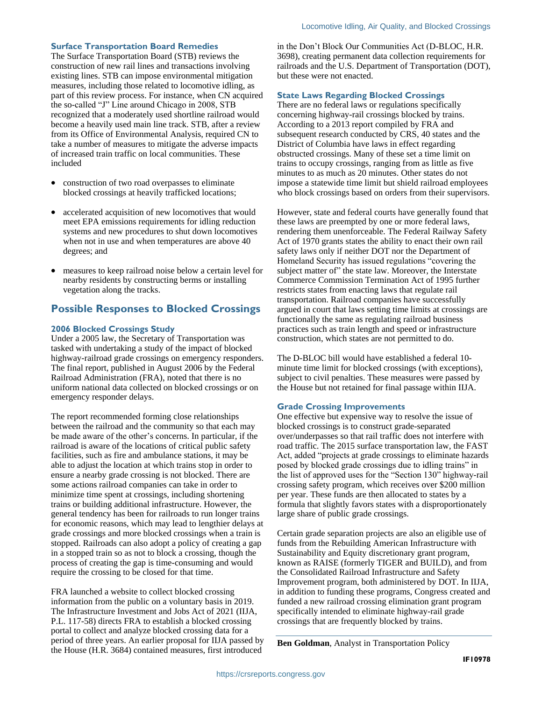#### **Surface Transportation Board Remedies**

The Surface Transportation Board (STB) reviews the construction of new rail lines and transactions involving existing lines. STB can impose environmental mitigation measures, including those related to locomotive idling, as part of this review process. For instance, when CN acquired the so-called "J" Line around Chicago in 2008, STB recognized that a moderately used shortline railroad would become a heavily used main line track. STB, after a review from its Office of Environmental Analysis, required CN to take a number of measures to mitigate the adverse impacts of increased train traffic on local communities. These included

- construction of two road overpasses to eliminate blocked crossings at heavily trafficked locations;
- accelerated acquisition of new locomotives that would meet EPA emissions requirements for idling reduction systems and new procedures to shut down locomotives when not in use and when temperatures are above 40 degrees; and
- measures to keep railroad noise below a certain level for nearby residents by constructing berms or installing vegetation along the tracks.

# **Possible Responses to Blocked Crossings**

#### **2006 Blocked Crossings Study**

Under a 2005 law, the Secretary of Transportation was tasked with undertaking a study of the impact of blocked highway-railroad grade crossings on emergency responders. The final report, published in August 2006 by the Federal Railroad Administration (FRA), noted that there is no uniform national data collected on blocked crossings or on emergency responder delays.

The report recommended forming close relationships between the railroad and the community so that each may be made aware of the other's concerns. In particular, if the railroad is aware of the locations of critical public safety facilities, such as fire and ambulance stations, it may be able to adjust the location at which trains stop in order to ensure a nearby grade crossing is not blocked. There are some actions railroad companies can take in order to minimize time spent at crossings, including shortening trains or building additional infrastructure. However, the general tendency has been for railroads to run longer trains for economic reasons, which may lead to lengthier delays at grade crossings and more blocked crossings when a train is stopped. Railroads can also adopt a policy of creating a gap in a stopped train so as not to block a crossing, though the process of creating the gap is time-consuming and would require the crossing to be closed for that time.

FRA launched a website to collect blocked crossing information from the public on a voluntary basis in 2019. The Infrastructure Investment and Jobs Act of 2021 (IIJA, P.L. 117-58) directs FRA to establish a blocked crossing portal to collect and analyze blocked crossing data for a period of three years. An earlier proposal for IIJA passed by the House (H.R. 3684) contained measures, first introduced

in the Don't Block Our Communities Act (D-BLOC, H.R. 3698), creating permanent data collection requirements for railroads and the U.S. Department of Transportation (DOT), but these were not enacted.

#### **State Laws Regarding Blocked Crossings**

There are no federal laws or regulations specifically concerning highway-rail crossings blocked by trains. According to a 2013 report compiled by FRA and subsequent research conducted by CRS, 40 states and the District of Columbia have laws in effect regarding obstructed crossings. Many of these set a time limit on trains to occupy crossings, ranging from as little as five minutes to as much as 20 minutes. Other states do not impose a statewide time limit but shield railroad employees who block crossings based on orders from their supervisors.

However, state and federal courts have generally found that these laws are preempted by one or more federal laws, rendering them unenforceable. The Federal Railway Safety Act of 1970 grants states the ability to enact their own rail safety laws only if neither DOT nor the Department of Homeland Security has issued regulations "covering the subject matter of" the state law. Moreover, the Interstate Commerce Commission Termination Act of 1995 further restricts states from enacting laws that regulate rail transportation. Railroad companies have successfully argued in court that laws setting time limits at crossings are functionally the same as regulating railroad business practices such as train length and speed or infrastructure construction, which states are not permitted to do.

The D-BLOC bill would have established a federal 10 minute time limit for blocked crossings (with exceptions), subject to civil penalties. These measures were passed by the House but not retained for final passage within IIJA.

#### **Grade Crossing Improvements**

One effective but expensive way to resolve the issue of blocked crossings is to construct grade-separated over/underpasses so that rail traffic does not interfere with road traffic. The 2015 surface transportation law, the FAST Act, added "projects at grade crossings to eliminate hazards posed by blocked grade crossings due to idling trains" in the list of approved uses for the "Section 130" highway-rail crossing safety program, which receives over \$200 million per year. These funds are then allocated to states by a formula that slightly favors states with a disproportionately large share of public grade crossings.

Certain grade separation projects are also an eligible use of funds from the Rebuilding American Infrastructure with Sustainability and Equity discretionary grant program, known as RAISE (formerly TIGER and BUILD), and from the Consolidated Railroad Infrastructure and Safety Improvement program, both administered by DOT. In IIJA, in addition to funding these programs, Congress created and funded a new railroad crossing elimination grant program specifically intended to eliminate highway-rail grade crossings that are frequently blocked by trains.

**Ben Goldman**, Analyst in Transportation Policy